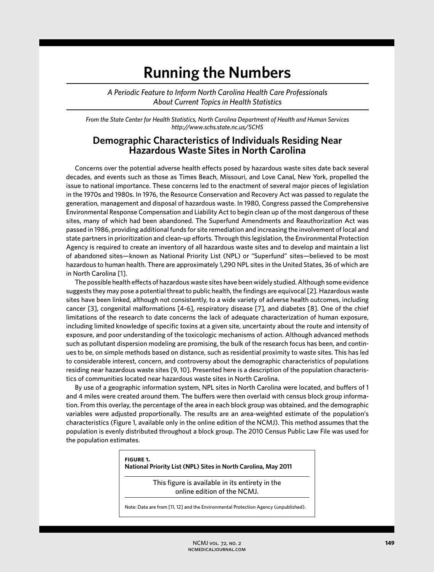## **Running the Numbers**

*A Periodic Feature to Inform North Carolina Health Care Professionals About Current Topics in Health Statistics*

*From the State Center for Health Statistics, North Carolina Department of Health and Human Services http://www.schs.state.nc.us/SCHS*

## **Demographic Characteristics of Individuals Residing Near Hazardous Waste Sites in North Carolina**

Concerns over the potential adverse health effects posed by hazardous waste sites date back several decades, and events such as those as Times Beach, Missouri, and Love Canal, New York, propelled the issue to national importance. These concerns led to the enactment of several major pieces of legislation in the 1970s and 1980s. In 1976, the Resource Conservation and Recovery Act was passed to regulate the generation, management and disposal of hazardous waste. In 1980, Congress passed the Comprehensive Environmental Response Compensation and Liability Act to begin clean up of the most dangerous of these sites, many of which had been abandoned. The Superfund Amendments and Reauthorization Act was passed in 1986, providing additional funds for site remediation and increasing the involvement of local and state partners in prioritization and clean-up efforts. Through this legislation, the Environmental Protection Agency is required to create an inventory of all hazardous waste sites and to develop and maintain a list of abandoned sites—known as National Priority List (NPL) or "Superfund" sites—believed to be most hazardous to human health. There are approximately 1,290 NPL sites in the United States, 36 of which are in North Carolina [1].

The possible health effects of hazardous waste sites have been widely studied. Although some evidence suggests they may pose a potential threat to public health, the findings are equivocal [2]. Hazardous waste sites have been linked, although not consistently, to a wide variety of adverse health outcomes, including cancer [3], congenital malformations [4-6], respiratory disease [7], and diabetes [8]. One of the chief limitations of the research to date concerns the lack of adequate characterization of human exposure, including limited knowledge of specific toxins at a given site, uncertainty about the route and intensity of exposure, and poor understanding of the toxicologic mechanisms of action. Although advanced methods such as pollutant dispersion modeling are promising, the bulk of the research focus has been, and continues to be, on simple methods based on distance, such as residential proximity to waste sites. This has led to considerable interest, concern, and controversy about the demographic characteristics of populations residing near hazardous waste sites [9, 10]. Presented here is a description of the population characteristics of communities located near hazardous waste sites in North Carolina.

By use of a geographic information system, NPL sites in North Carolina were located, and buffers of 1 and 4 miles were created around them. The buffers were then overlaid with census block group information. From this overlay, the percentage of the area in each block group was obtained, and the demographic variables were adjusted proportionally. The results are an area-weighted estimate of the population's characteristics (Figure 1, available only in the online edition of the NCMJ). This method assumes that the population is evenly distributed throughout a block group. The 2010 Census Public Law File was used for the population estimates.

> **figure 1. National Priority List (NPL) Sites in North Carolina, May 2011** This figure is available in its entirety in the online edition of the NCMJ. Note: Data are from [11, 12] and the Environmental Protection Agency (unpublished).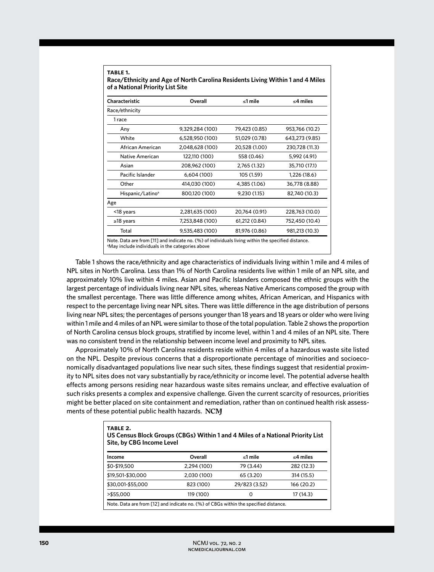| Characteristic               | Overall         | ≤1 mile       | $\leq$ 4 miles |
|------------------------------|-----------------|---------------|----------------|
| Race/ethnicity               |                 |               |                |
| 1 race                       |                 |               |                |
| Any                          | 9,329,284 (100) | 79,423 (0.85) | 953,766 (10.2) |
| White                        | 6,528,950 (100) | 51,029 (0.78) | 643,273 (9.85) |
| African American             | 2,048,628 (100) | 20,528 (1.00) | 230,728 (11.3) |
| Native American              | 122,110 (100)   | 558 (0.46)    | 5,992 (4.91)   |
| Asian                        | 208,962 (100)   | 2,765 (1.32)  | 35,710 (17.1)  |
| Pacific Islander             | 6,604 (100)     | 105 (1.59)    | 1,226 (18.6)   |
| Other                        | 414,030 (100)   | 4,385 (1.06)  | 36,778 (8.88)  |
| Hispanic/Latino <sup>a</sup> | 800,120 (100)   | 9,230 (1.15)  | 82,740 (10.3)  |
| Age                          |                 |               |                |
| <18 years                    | 2,281,635 (100) | 20,764 (0.91) | 228,763 (10.0) |
| $\ge$ 18 years               | 7,253,848 (100) | 61,212 (0.84) | 752,450 (10.4) |
| Total                        | 9,535,483 (100) | 81,976 (0.86) | 981,213 (10.3) |

**table 1.**

Table 1 shows the race/ethnicity and age characteristics of individuals living within 1 mile and 4 miles of NPL sites in North Carolina. Less than 1% of North Carolina residents live within 1 mile of an NPL site, and approximately 10% live within 4 miles. Asian and Pacific Islanders composed the ethnic groups with the largest percentage of individuals living near NPL sites, whereas Native Americans composed the group with the smallest percentage. There was little difference among whites, African American, and Hispanics with respect to the percentage living near NPL sites. There was little difference in the age distribution of persons living near NPL sites; the percentages of persons younger than 18 years and 18 years or older who were living within 1 mile and 4 miles of an NPL were similar to those of the total population. Table 2 shows the proportion of North Carolina census block groups, stratified by income level, within 1 and 4 miles of an NPL site. There was no consistent trend in the relationship between income level and proximity to NPL sites.

Approximately 10% of North Carolina residents reside within 4 miles of a hazardous waste site listed on the NPL. Despite previous concerns that a disproportionate percentage of minorities and socioeconomically disadvantaged populations live near such sites, these findings suggest that residential proximity to NPL sites does not vary substantially by race/ethnicity or income level. The potential adverse health effects among persons residing near hazardous waste sites remains unclear, and effective evaluation of such risks presents a complex and expensive challenge. Given the current scarcity of resources, priorities might be better placed on site containment and remediation, rather than on continued health risk assessments of these potential public health hazards. NCM

| TABLE 2.<br>US Census Block Groups (CBGs) Within 1 and 4 Miles of a National Priority List<br>Site, by CBG Income Level |             |               |                |  |
|-------------------------------------------------------------------------------------------------------------------------|-------------|---------------|----------------|--|
| Income                                                                                                                  | Overall     | $\leq 1$ mile | $\leq$ 4 miles |  |
| \$0-\$19,500                                                                                                            | 2.294 (100) | 79 (3.44)     | 282 (12.3)     |  |
| \$19,501-\$30,000                                                                                                       | 2,030 (100) | 65 (3.20)     | 314 (15.5)     |  |
| \$30,001-\$55,000                                                                                                       | 823 (100)   | 29/823 (3.52) | 166 (20.2)     |  |
| >\$55,000                                                                                                               | 119 (100)   | 0             | 17 (14.3)      |  |